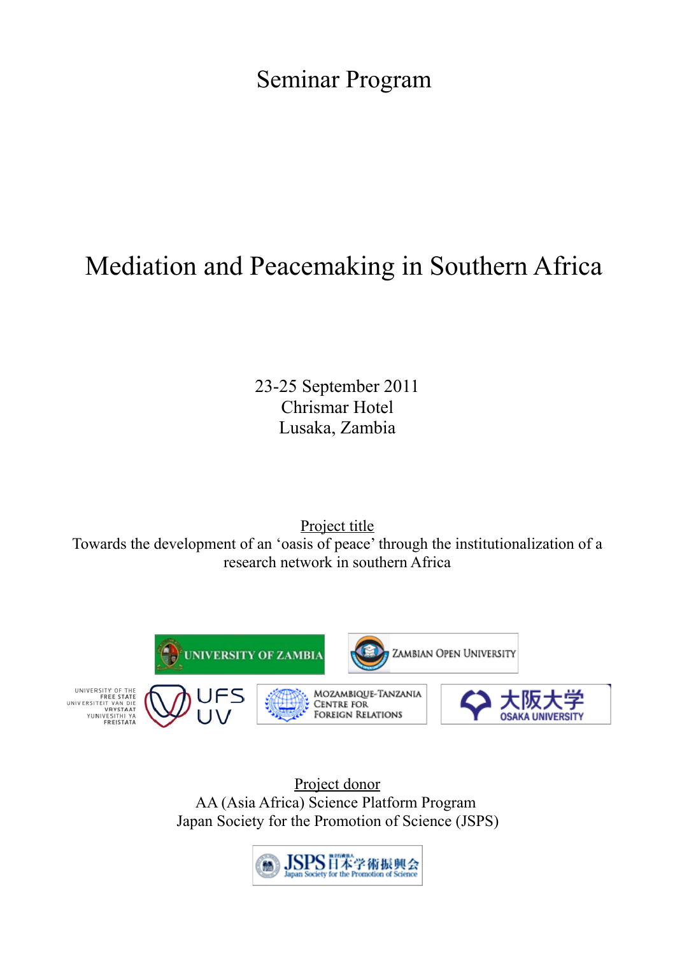Seminar Program

## Mediation and Peacemaking in Southern Africa

23-25 September 2011 Chrismar Hotel Lusaka, Zambia

Project title Towards the development of an 'oasis of peace' through the institutionalization of a research network in southern Africa



Project donor AA (Asia Africa) Science Platform Program Japan Society for the Promotion of Science (JSPS)

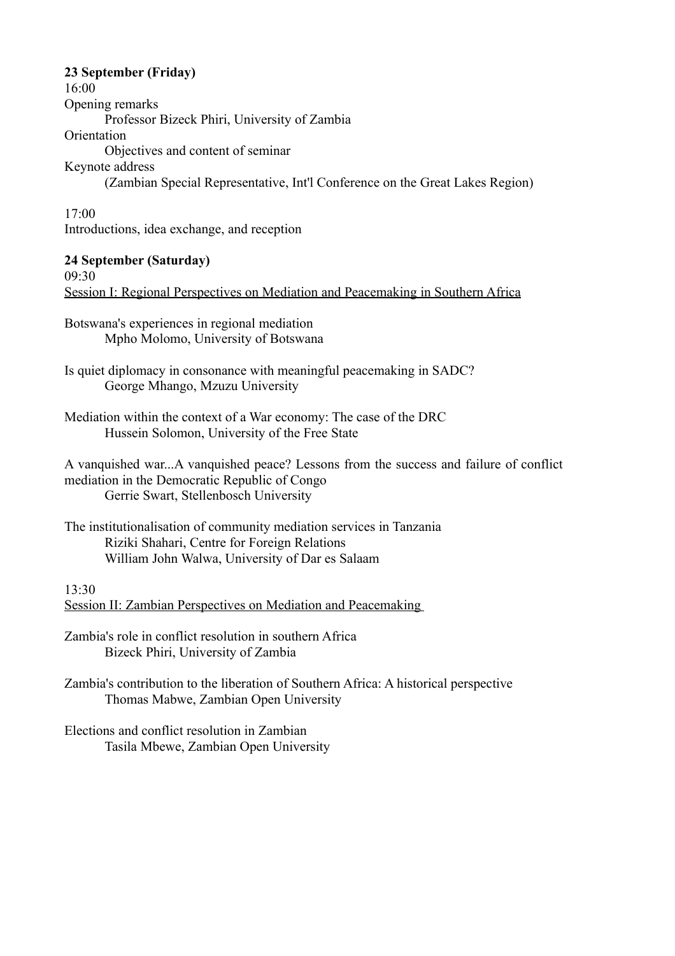## **23 September (Friday)**

16:00 Opening remarks Professor Bizeck Phiri, University of Zambia **Orientation** Objectives and content of seminar Keynote address (Zambian Special Representative, Int'l Conference on the Great Lakes Region)

17:00 Introductions, idea exchange, and reception

## **24 September (Saturday)**

09:30

Session I: Regional Perspectives on Mediation and Peacemaking in Southern Africa

Botswana's experiences in regional mediation Mpho Molomo, University of Botswana

Is quiet diplomacy in consonance with meaningful peacemaking in SADC? George Mhango, Mzuzu University

Mediation within the context of a War economy: The case of the DRC Hussein Solomon, University of the Free State

A vanquished war...A vanquished peace? Lessons from the success and failure of conflict mediation in the Democratic Republic of Congo Gerrie Swart, Stellenbosch University

The institutionalisation of community mediation services in Tanzania Riziki Shahari, Centre for Foreign Relations William John Walwa, University of Dar es Salaam

13:30 Session II: Zambian Perspectives on Mediation and Peacemaking

Zambia's role in conflict resolution in southern Africa Bizeck Phiri, University of Zambia

Zambia's contribution to the liberation of Southern Africa: A historical perspective Thomas Mabwe, Zambian Open University

Elections and conflict resolution in Zambian Tasila Mbewe, Zambian Open University